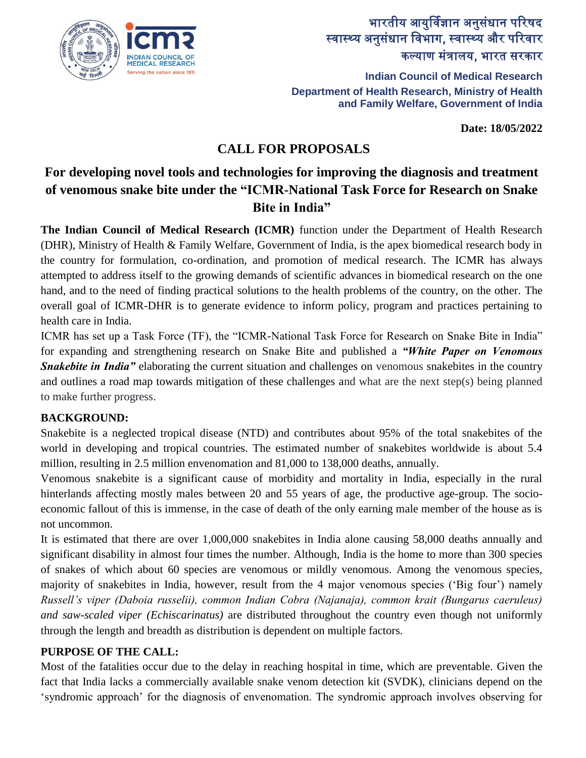

# भारतीय आयुर्विज्ञान अनुसंधान पररषद स्वास्थ्य अनुसंधान विभाग, स्वास्थ्य और परिवार कल्याण मंत्रालय, भारत सरकार

**Indian Council of Medical Research Department of Health Research, Ministry of Health and Family Welfare, Government of India**

**Date: 18/05/2022**

# **CALL FOR PROPOSALS**

# **For developing novel tools and technologies for improving the diagnosis and treatment of venomous snake bite under the "ICMR-National Task Force for Research on Snake Bite in India"**

**The Indian Council of Medical Research (ICMR)** function under the Department of Health Research (DHR), Ministry of Health & Family Welfare, Government of India, is the apex biomedical research body in the country for formulation, co-ordination, and promotion of medical research. The ICMR has always attempted to address itself to the growing demands of scientific advances in biomedical research on the one hand, and to the need of finding practical solutions to the health problems of the country, on the other. The overall goal of ICMR-DHR is to generate evidence to inform policy, program and practices pertaining to health care in India.

ICMR has set up a Task Force (TF), the "ICMR-National Task Force for Research on Snake Bite in India" for expanding and strengthening research on Snake Bite and published a *"White Paper on Venomous*  **Snakebite in India"** elaborating the current situation and challenges on venomous snakebites in the country and outlines a road map towards mitigation of these challenges and what are the next step(s) being planned to make further progress.

#### **BACKGROUND:**

Snakebite is a neglected tropical disease (NTD) and contributes about 95% of the total snakebites of the world in developing and tropical countries. The estimated number of snakebites worldwide is about 5.4 million, resulting in 2.5 million envenomation and 81,000 to 138,000 deaths, annually.

Venomous snakebite is a significant cause of morbidity and mortality in India, especially in the rural hinterlands affecting mostly males between 20 and 55 years of age, the productive age-group. The socioeconomic fallout of this is immense, in the case of death of the only earning male member of the house as is not uncommon.

It is estimated that there are over 1,000,000 snakebites in India alone causing 58,000 deaths annually and significant disability in almost four times the number. Although, India is the home to more than 300 species of snakes of which about 60 species are venomous or mildly venomous. Among the venomous species, majority of snakebites in India, however, result from the 4 major venomous species ('Big four') namely *Russell's viper (Daboia russelii), common Indian Cobra (Najanaja), common krait (Bungarus caeruleus) and saw-scaled viper (Echiscarinatus)* are distributed throughout the country even though not uniformly through the length and breadth as distribution is dependent on multiple factors.

## **PURPOSE OF THE CALL:**

Most of the fatalities occur due to the delay in reaching hospital in time, which are preventable. Given the fact that India lacks a commercially available snake venom detection kit (SVDK), clinicians depend on the 'syndromic approach' for the diagnosis of envenomation. The syndromic approach involves observing for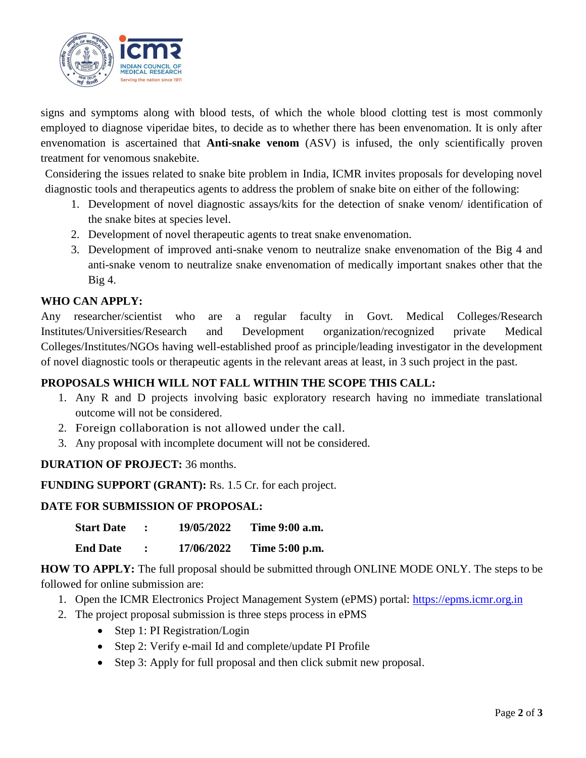

signs and symptoms along with blood tests, of which the whole blood clotting test is most commonly employed to diagnose viperidae bites, to decide as to whether there has been envenomation. It is only after envenomation is ascertained that **Anti-snake venom** (ASV) is infused, the only scientifically proven treatment for venomous snakebite.

Considering the issues related to snake bite problem in India, ICMR invites proposals for developing novel diagnostic tools and therapeutics agents to address the problem of snake bite on either of the following:

- 1. Development of novel diagnostic assays/kits for the detection of snake venom/ identification of the snake bites at species level.
- 2. Development of novel therapeutic agents to treat snake envenomation.
- 3. Development of improved anti-snake venom to neutralize snake envenomation of the Big 4 and anti-snake venom to neutralize snake envenomation of medically important snakes other that the Big 4.

### **WHO CAN APPLY:**

Any researcher/scientist who are a regular faculty in Govt. Medical Colleges/Research Institutes/Universities/Research and Development organization/recognized private Medical Colleges/Institutes/NGOs having well-established proof as principle/leading investigator in the development of novel diagnostic tools or therapeutic agents in the relevant areas at least, in 3 such project in the past.

#### **PROPOSALS WHICH WILL NOT FALL WITHIN THE SCOPE THIS CALL:**

- 1. Any R and D projects involving basic exploratory research having no immediate translational outcome will not be considered.
- 2. Foreign collaboration is not allowed under the call.
- 3. Any proposal with incomplete document will not be considered.

#### **DURATION OF PROJECT:** 36 months.

**FUNDING SUPPORT (GRANT):** Rs. 1.5 Cr. for each project.

#### **DATE FOR SUBMISSION OF PROPOSAL:**

| <b>Start Date</b> | 19/05/2022 | Time 9:00 a.m. |
|-------------------|------------|----------------|
|                   |            |                |

**End Date : 17/06/2022 Time 5:00 p.m.**

**HOW TO APPLY:** The full proposal should be submitted through ONLINE MODE ONLY. The steps to be followed for online submission are:

- 1. Open the ICMR Electronics Project Management System (ePMS) portal: [https://epms.icmr.org.in](https://epms.icmr.org.in/)
- 2. The project proposal submission is three steps process in ePMS
	- Step 1: PI Registration/Login
	- Step 2: Verify e-mail Id and complete/update PI Profile
	- Step 3: Apply for full proposal and then click submit new proposal.